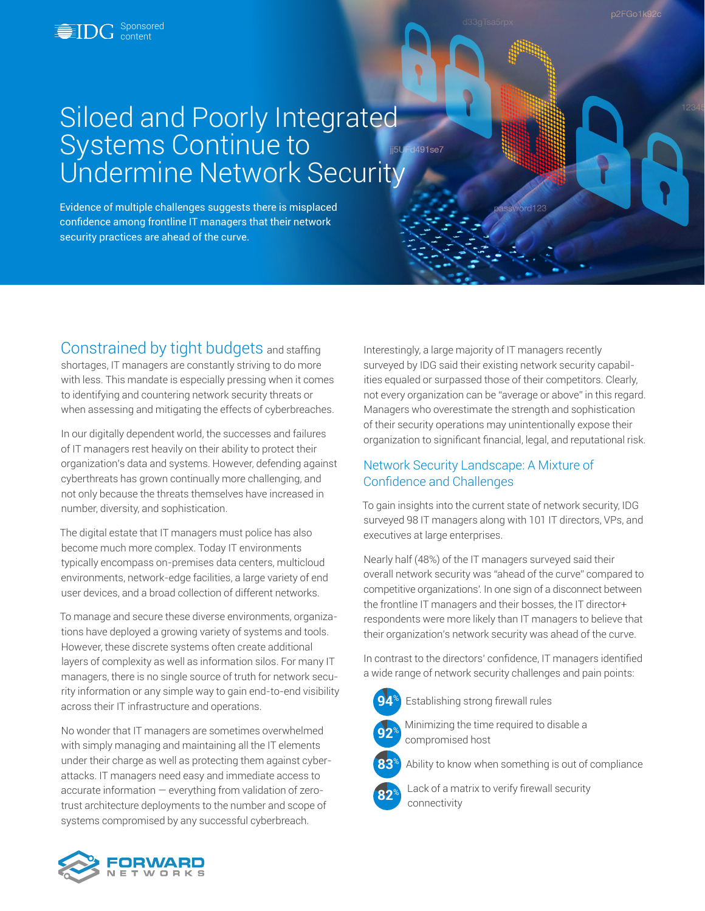**Sponsored** content

# Siloed and Poorly Integrated Systems Continue to d491se7 Undermine Network Security

Evidence of multiple challenges suggests there is misplaced confidence among frontline IT managers that their network security practices are ahead of the curve.

Constrained by tight budgets and staffing shortages, IT managers are constantly striving to do more with less. This mandate is especially pressing when it comes to identifying and countering network security threats or when assessing and mitigating the effects of cyberbreaches.

In our digitally dependent world, the successes and failures of IT managers rest heavily on their ability to protect their organization's data and systems. However, defending against cyberthreats has grown continually more challenging, and not only because the threats themselves have increased in number, diversity, and sophistication.

The digital estate that IT managers must police has also become much more complex. Today IT environments typically encompass on-premises data centers, multicloud environments, network-edge facilities, a large variety of end user devices, and a broad collection of different networks.

To manage and secure these diverse environments, organizations have deployed a growing variety of systems and tools. However, these discrete systems often create additional layers of complexity as well as information silos. For many IT managers, there is no single source of truth for network security information or any simple way to gain end-to-end visibility across their IT infrastructure and operations.

No wonder that IT managers are sometimes overwhelmed with simply managing and maintaining all the IT elements under their charge as well as protecting them against cyberattacks. IT managers need easy and immediate access to accurate information — everything from validation of zerotrust architecture deployments to the number and scope of systems compromised by any successful cyberbreach.

Interestingly, a large majority of IT managers recently surveyed by IDG said their existing network security capabilities equaled or surpassed those of their competitors. Clearly, not every organization can be "average or above" in this regard. Managers who overestimate the strength and sophistication of their security operations may unintentionally expose their organization to significant financial, legal, and reputational risk.

# Network Security Landscape: A Mixture of Confidence and Challenges

To gain insights into the current state of network security, IDG surveyed 98 IT managers along with 101 IT directors, VPs, and executives at large enterprises.

Nearly half (48%) of the IT managers surveyed said their overall network security was "ahead of the curve" compared to competitive organizations'. In one sign of a disconnect between the frontline IT managers and their bosses, the IT director+ respondents were more likely than IT managers to believe that their organization's network security was ahead of the curve.

In contrast to the directors' confidence, IT managers identified a wide range of network security challenges and pain points:



**94**% Establishing strong firewall rules



**<sup>92</sup>**% Minimizing the time required to disable a compromised host

**83**% Ability to know when something is out of compliance

Lack of a matrix to verify firewall security connectivity